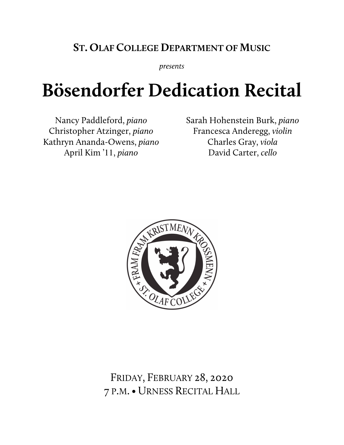## **ST. OLAF COLLEGE DEPARTMENT OF MUSIC**

*presents*

## **Bösendorfer Dedication Recital**

Nancy Paddleford, *piano* Christopher Atzinger, *piano* Kathryn Ananda-Owens, *piano* April Kim '11, *piano*

Sarah Hohenstein Burk, *piano* Francesca Anderegg, *violin* Charles Gray, *viola* David Carter, *cello*



FRIDAY, FEBRUARY 28, 2020 7 P.M.• URNESS RECITAL HALL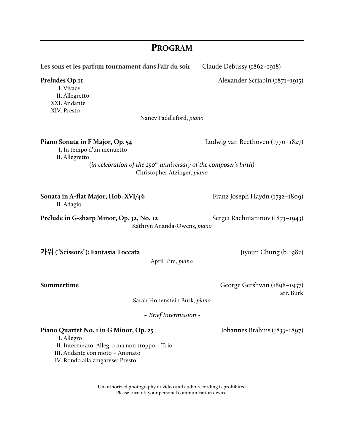| <b>PROGRAM</b>                                                                                                                                                              |                                          |
|-----------------------------------------------------------------------------------------------------------------------------------------------------------------------------|------------------------------------------|
| Les sons et les parfum tournament dans l'air du soir                                                                                                                        | Claude Debussy (1862-1918)               |
| Preludes Op.11<br>I. Vivace<br>II. Allegretto<br>XXI. Andante<br>XIV. Presto<br>Nancy Paddleford, piano                                                                     | Alexander Scriabin (1871–1915)           |
|                                                                                                                                                                             |                                          |
| Piano Sonata in F Major, Op. 54<br>I. In tempo d'un menuetto<br>II. Allegretto                                                                                              | Ludwig van Beethoven $(1770 - 1827)$     |
| (in celebration of the 250 <sup>th</sup> anniversary of the composer's birth)<br>Christopher Atzinger, piano                                                                |                                          |
| Sonata in A-flat Major, Hob. XVI/46<br>II. Adagio                                                                                                                           | Franz Joseph Haydn (1732–1809)           |
| Prelude in G-sharp Minor, Op. 32, No. 12<br>Sergei Rachmaninov (1873-1943)<br>Kathryn Ananda-Owens, piano                                                                   |                                          |
| 가위 ("Scissors"): Fantasia Toccata<br>April Kim, piano                                                                                                                       | Jiyoun Chung (b.1982)                    |
| Summertime                                                                                                                                                                  | George Gershwin (1898–1937)<br>arr. Burk |
| Sarah Hohenstein Burk, piano                                                                                                                                                |                                          |
| $\sim$ Brief Intermission $\sim$                                                                                                                                            |                                          |
| Piano Quartet No. 1 in G Minor, Op. 25<br>I. Allegro<br>II. Intermezzo: Allegro ma non troppo - Trio<br>III. Andante con moto - Animato<br>IV. Rondo alla zingarese: Presto | Johannes Brahms (1833–1897)              |

Unauthorized photography or video and audio recording is prohibited Please turn off your personal communication device.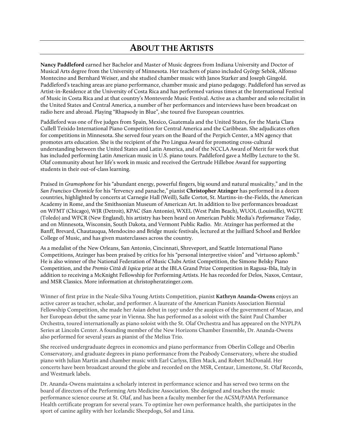## **ABOUT THE ARTISTS**

**Nancy Paddleford** earned her Bachelor and Master of Music degrees from Indiana University and Doctor of Musical Arts degree from the University of Minnesota. Her teachers of piano included György Sebök, Alfonso Montecino and Bernhard Weiser, and she studied chamber music with Janos Starker and Joseph Gingold. Paddleford's teaching areas are piano performance, chamber music and piano pedagogy. Paddleford has served as Artist-in-Residence at the University of Costa Rica and has performed various times at the International Festival of Music in Costa Rica and at that country's Monteverde Music Festival. Active as a chamber and solo recitalist in the United States and Central America, a number of her performances and interviews have been broadcast on radio here and abroad. Playing "Rhapsody in Blue", she toured five European countries.

Paddleford was one of five judges from Spain, Mexico, Guatemala and the United States, for the Maria Clara Cullell Teixido International Piano Competition for Central America and the Caribbean. She adjudicates often for competitions in Minnesota. She served four years on the Board of the Perpich Center, a MN agency that promotes arts education. She is the recipient of the Pro Lingua Award for promoting cross-cultural understanding between the United States and Latin America, and of the NCCLA Award of Merit for work that has included performing Latin American music in U.S. piano tours. Paddleford gave a Mellby Lecture to the St. Olaf community about her life's work in music and received the Gertrude Hilleboe Award for supporting students in their out-of-class learning.

Praised in *Gramophone* for his "abundant energy, powerful fingers, big sound and natural musicality," and in the *San Francisco Chronicle* for his "fervency and panache," pianist **Christopher Atzinger** has performed in a dozen countries, highlighted by concerts at Carnegie Hall (Weill), Salle Cortot, St. Martins-in-the-Fields, the American Academy in Rome, and the Smithsonian Museum of American Art. In addition to live performances broadcast on WFMT (Chicago), WJR (Detroit), KPAC (San Antonio), WXEL (West Palm Beach), WUOL (Louisville), WGTE (Toledo) and WFCR (New England), his artistry has been heard on American Public Media's *Performance Today*, and on Minnesota, Wisconsin, South Dakota, and Vermont Public Radio. Mr. Atzinger has performed at the Banff, Brevard, Chautauqua, Mendocino and Bridge music festivals, lectured at the Juilliard School and Berklee College of Music, and has given masterclasses across the country.

As a medalist of the New Orleans, San Antonio, Cincinnati, Shreveport, and Seattle International Piano Competitions, Atzinger has been praised by critics for his "personal interpretive vision" and "virtuoso aplomb." He is also winner of the National Federation of Music Clubs Artist Competition, the Simone Belsky Piano Competition, and the *Premio Città di Ispica* prize at the IBLA Grand Prize Competition in Ragusa-Ibla, Italy in addition to receiving a McKnight Fellowship for Performing Artists. He has recorded for Delos, Naxos, Centaur, and MSR Classics. More information at christopheratzinger.com.

Winner of first prize in the Neale-Silva Young Artists Competition, pianist **Kathryn Ananda-Owens** enjoys an active career as teacher, scholar, and performer. A laureate of the American Pianists Association Biennial Fellowship Competition, she made her Asian debut in 1997 under the auspices of the government of Macao, and her European debut the same year in Vienna. She has performed as a soloist with the Saint Paul Chamber Orchestra, toured internationally as piano soloist with the St. Olaf Orchestra and has appeared on the NYPLPA Series at Lincoln Center. A founding member of the New Horizons Chamber Ensemble, Dr. Ananda-Owens also performed for several years as pianist of the Melius Trio.

She received undergraduate degrees in economics and piano performance from Oberlin College and Oberlin Conservatory, and graduate degrees in piano performance from the Peabody Conservatory, where she studied piano with Julian Martin and chamber music with Earl Carlyss, Ellen Mack, and Robert McDonald. Her concerts have been broadcast around the globe and recorded on the MSR, Centaur, Limestone, St. Olaf Records, and Westmark labels.

Dr. Ananda-Owens maintains a scholarly interest in performance science and has served two terms on the board of directors of the Performing Arts Medicine Association. She designed and teaches the music performance science course at St. Olaf, and has been a faculty member for the ACSM/PAMA Performance Health certificate program for several years. To optimize her own performance health, she participates in the sport of canine agility with her Icelandic Sheepdogs, Sol and Lina.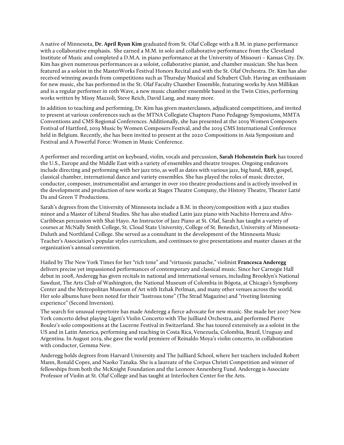A native of Minnesota, **Dr. April Ryun Kim** graduated from St. Olaf College with a B.M. in piano performance with a collaborative emphasis. She earned a M.M. in solo and collaborative performance from the Cleveland Institute of Music and completed a D.M.A. in piano performance at the University of Missouri – Kansas City. Dr. Kim has given numerous performances as a soloist, collaborative pianist, and chamber musician. She has been featured as a soloist in the MasterWorks Festival Honors Recital and with the St. Olaf Orchestra. Dr. Kim has also received winning awards from competitions such as Thursday Musical and Schubert Club. Having an enthusiasm for new music, she has performed in the St. Olaf Faculty Chamber Ensemble, featuring works by Ann Millikan and is a regular performer in 10th Wave, a new music chamber ensemble based in the Twin Cities, performing works written by Missy Mazzoli, Steve Reich, David Lang, and many more.

In addition to teaching and performing, Dr. Kim has given masterclasses, adjudicated competitions, and invited to present at various conferences such as the MTNA Collegiate Chapters Piano Pedagogy Symposiums, MMTA Conventions and CMS Regional Conferences. Additionally, she has presented at the 2019 Women Composers Festival of Hartford, 2019 Music by Women Composers Festival, and the 2019 CMS International Conference held in Belgium. Recently, she has been invited to present at the 2020 Compositions in Asia Symposium and Festival and A Powerful Force: Women in Music Conference.

A performer and recording artist on keyboard, violin, vocals and percussion, **Sarah Hohenstein Burk** has toured the U.S., Europe and the Middle East with a variety of ensembles and theatre troupes. Ongoing endeavors include directing and performing with her jazz trio, as well as dates with various jazz, big band, R&B, gospel, classical chamber, international dance and variety ensembles. She has played the roles of music director, conductor, composer, instrumentalist and arranger in over 100 theatre productions and is actively involved in the development and production of new works at Stages Theatre Company, the History Theatre, Theater Latté Da and Green T Productions.

Sarah's degrees from the University of Minnesota include a B.M. in theory/composition with a jazz studies minor and a Master of Liberal Studies. She has also studied Latin jazz piano with Nachito Herrera and Afro-Caribbean percussion with Shai Hayo. An Instructor of Jazz Piano at St. Olaf, Sarah has taught a variety of courses at McNally Smith College, St. Cloud State University, College of St. Benedict, University of Minnesota-Duluth and Northland College. She served as a consultant in the development of the Minnesota Music Teacher's Association's popular styles curriculum, and continues to give presentations and master classes at the organization's annual convention.

Hailed by The New York Times for her "rich tone" and "virtuosic panache," violinist **Francesca Anderegg** delivers precise yet impassioned performances of contemporary and classical music. Since her Carnegie Hall debut in 2008, Anderegg has given recitals in national and international venues, including Brooklyn's National Sawdust, The Arts Club of Washington, the National Museum of Colombia in Bógota, at Chicago's Symphony Center and the Metropolitan Museum of Art with Itzhak Perlman, and many other venues across the world. Her solo albums have been noted for their "lustrous tone" (The Strad Magazine) and "riveting listening experience" (Second Inversion).

The search for unusual repertoire has made Anderegg a fierce advocate for new music. She made her 2007 New York concerto debut playing Ligeti's Violin Concerto with The Juilliard Orchestra, and performed Pierre Boulez's solo compositions at the Lucerne Festival in Switzerland. She has toured extensively as a soloist in the US and in Latin America, performing and teaching in Costa Rica, Venezuela, Colombia, Brazil, Uruguay and Argentina. In August 2019, she gave the world premiere of Reinaldo Moya's violin concerto, in collaboration with conductor, Gemma New.

Anderegg holds degrees from Harvard University and The Juilliard School, where her teachers included Robert Mann, Ronald Copes, and Naoko Tanaka. She is a laureate of the Corpus Christi Competition and winner of fellowships from both the McKnight Foundation and the Leonore Annenberg Fund. Anderegg is Associate Professor of Violin at St. Olaf College and has taught at Interlochen Center for the Arts.